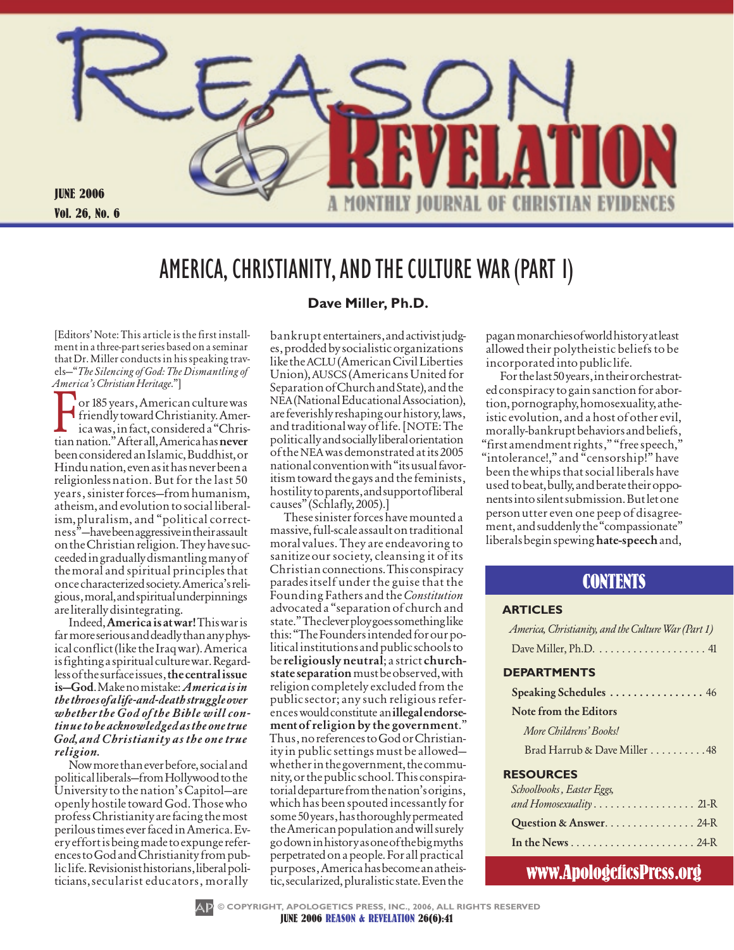

### AMERICA, CHRISTIANITY, AND THE CULTURE War (PART 1)

[Editors' Note: This article is the first installment in a three-part series based on a seminar that Dr. Miller conducts in his speaking travels—"*The Silencing of God: The Dismantling of America's Christian Heritage*."]

For 185 years, American culture was<br>friendly toward Christianity. America<br>ica was, in fact, considered a "Christian pation " Afterall America has never friendly toward Christianity. America was, in fact, considered a "Christian nation." After all, America has never been considered an Islamic, Buddhist, or Hindu nation, even as it has never been a religionless nation. But for the last 50 years, sinister forces—from humanism, atheism, and evolution to social liberalism, pluralism, and "political correctness"—have been aggressive in their assault on the Christian religion. They have succeeded in gradually dismantling many of the moral and spiritual principles that once characterized society. America's religious, moral, and spiritual underpinnings are literally disintegrating.

Indeed, America is at war! This war is far more serious and deadly than any physical conflict (like the Iraq war). America is fighting a spiritual culture war. Regardless of the surface issues, the central issue is—God. Make no mistake: *America is in the throes of a life-and-death struggle over whether the God of the Bible will continue to be acknowledged as the one true God, and Christianity as the one true religion.*

Now more than ever before, social and political liberals—from Hollywood to the University to the nation's Capitol—are openly hostile toward God. Those who profess Christianity are facing the most perilous times ever faced in America. Every effort is being made to expunge references to God and Christianity from public life. Revisionist historians, liberal politicians, secularist educators, morally

### **Dave Miller, Ph.D.**

bankrupt entertainers, and activist judges, prodded by socialistic organizations like the ACLU (American Civil Liberties Union), auscs (Americans United for Separation of Church and State), and the NEA (National Educational Association), are feverishly reshaping our history, laws, and traditional way of life. [NOTE: The politically and socially liberal orientation of the nea was demonstrated at its 2005 national convention with "its usual favoritism toward the gays and the feminists, hostility to parents, and support of liberal causes" (Schlafly, 2005).]

These sinister forces have mounted a massive, full-scale assault on traditional moral values. They are endeavoring to sanitize our society, cleansing it of its Christian connections. This conspiracy parades itself under the guise that the Founding Fathers and the *Constitution* advocated a "separation of church and state." The clever ploy goes something like this: "The Founders intended for our political institutions and public schools to be religiously neutral; a strict churchstate separation must be observed, with religion completely excluded from the public sector; any such religious references would constitute an illegal endorsement of religion by the government." Thus, no references to God or Christianity in public settings must be allowed whether in the government, the community, or the public school. This conspiratorial departure from the nation's origins, which has been spouted incessantly for some 50 years, has thoroughly permeated the American population and will surely go down in history as one of the big myths perpetrated on a people. For all practical purposes, America has become an atheistic, secularized, pluralistic state. Even the

pagan monarchies of world history at least allowed their polytheistic beliefs to be incorporated into public life.

For the last 50 years, in their orchestrated conspiracy to gain sanction for abortion, pornography, homosexuality, atheistic evolution, and a host of other evil, morally-bankrupt behaviors and beliefs, "first amendment rights," "free speech," "intolerance!," and "censorship!" have been the whips that social liberals have used to beat, bully, and berate their opponents into silent submission. But let one person utter even one peep of disagreement, and suddenly the "compassionate" liberals begin spewing hate-speech and,

### **CONTENTS**

### **Articles**

| America, Christianity, and the Culture War (Part 1)           |
|---------------------------------------------------------------|
|                                                               |
| <b>DEPARTMENTS</b>                                            |
| Speaking Schedules  46                                        |
| Note from the Editors                                         |
| More Childrens' Books!                                        |
| Brad Harrub & Dave Miller 48                                  |
| <b>RESOURCES</b>                                              |
| Schoolbooks, Easter Eggs,                                     |
| and Homosexuality 21-R                                        |
| Question & Answer. 24-R                                       |
| In the News $\dots \dots \dots \dots \dots \dots \dots 24$ -R |
|                                                               |

www.ApologeticsPress.org

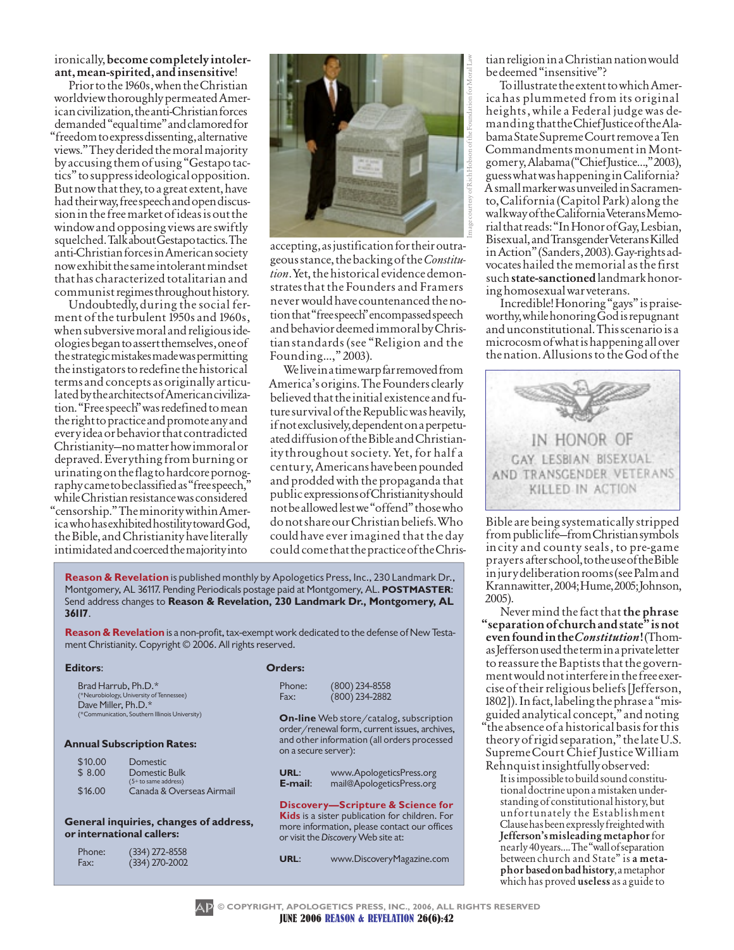ironically, become completely intolerant, mean-spirited, and insensitive!

Prior to the 1960s, when the Christian worldview thoroughly permeated American civilization, the anti-Christian forces demanded "equal time" and clamored for "freedom to express dissenting, alternative views." They derided the moral majority by accusing them of using "Gestapo tactics" to suppress ideological opposition. But now that they, to a great extent, have had their way, free speech and open discussion in the free market of ideas is out the window and opposing views are swiftly squelched. Talk about Gestapo tactics. The anti-Christian forces in American society now exhibit the same intolerant mindset that has characterized totalitarian and communist regimes throughout history.

Undoubtedly, during the social ferment of the turbulent 1950s and 1960s, when subversive moral and religious ideologies began to assert themselves, one of the strategic mistakes made was permitting the instigators to redefine the historical terms and concepts as originally articulated by the architects of American civilization. "Free speech" was redefined to mean the right to practice and promote any and every idea or behavior that contradicted Christianity—no matter how immoral or depraved. Everything from burning or urinating on the flag to hardcore pornography came to be classified as "free speech," while Christian resistance was considered "censorship." The minority within America who has exhibited hostility toward God, the Bible, and Christianity have literally intimidated and coerced the majority into



accepting, as justification for their outrageous stance, the backing of the *Constitution*. Yet, the historical evidence demonstrates that the Founders and Framers never would have countenanced the notion that "free speech" encompassed speech and behavior deemed immoral by Christian standards (see "Religion and the Founding…," 2003).

We live in a time warp far removed from America's origins. The Founders clearly believed that the initial existence and future survival of the Republic was heavily, if not exclusively, dependent on a perpetuated diffusion of the Bible and Christianity throughout society. Yet, for half a century, Americans have been pounded and prodded with the propaganda that public expressions of Christianity should not be allowed lest we "offend" those who do not share our Christian beliefs. Who could have ever imagined that the day could come that the practice of the Chris-

**Reason & Revelation** is published monthly by Apologetics Press, Inc., 230 Landmark Dr., Montgomery, AL 36117. Pending Periodicals postage paid at Montgomery, AL. **postmaster**: Send address changes to **Reason & Revelation, 230 Landmark Dr., Montgomery, AL 36117**.

**Reason & Revelation** is a non-profit, tax-exempt work dedicated to the defense of New Testament Christianity. Copyright © 2006. All rights reserved.

| <b>Editors:</b>                                                                                                                                                               |                                                                                | Orders:         |                                                                                                                                                                            |  |
|-------------------------------------------------------------------------------------------------------------------------------------------------------------------------------|--------------------------------------------------------------------------------|-----------------|----------------------------------------------------------------------------------------------------------------------------------------------------------------------------|--|
| Brad Harrub, Ph.D.*<br>(*Neurobiology, University of Tennessee)<br>Dave Miller, Ph.D.*<br>(*Communication, Southern Illinois University)<br><b>Annual Subscription Rates:</b> |                                                                                | Phone:<br>Fax:  | (800) 234-8558<br>(800) 234-2882                                                                                                                                           |  |
|                                                                                                                                                                               |                                                                                |                 | <b>On-line</b> Web store/catalog, subscription<br>order/renewal form, current issues, archives,<br>and other information (all orders processed<br>on a secure server):     |  |
| \$10.00<br>\$8.00<br>\$16.00                                                                                                                                                  | Domestic<br>Domestic Bulk<br>(5+ to same address)<br>Canada & Overseas Airmail | URL:<br>E-mail: | www.ApologeticsPress.org<br>mail@ApologeticsPress.org                                                                                                                      |  |
| General inquiries, changes of address,<br>or international callers:                                                                                                           |                                                                                |                 | Discovery-Scripture & Science for<br>Kids is a sister publication for children. For<br>more information, please contact our offices<br>or visit the Discovery Web site at: |  |

| URL: | www.DiscoveryMagazine.com |
|------|---------------------------|
|------|---------------------------|

tian religion in a Christian nation would be deemed "insensitive"?

To illustrate the extent to which America has plummeted from its original heights, while a Federal judge was demanding that the Chief Justice of the Alabama State Supreme Court remove a Ten Commandments monument in Montgomery, Alabama ("Chief Justice…," 2003), guess what was happening in California? A small marker was unveiled in Sacramento, California (Capitol Park) along the walkway of the California Veterans Memorial that reads: "In Honor of Gay, Lesbian, Bisexual, and Transgender Veterans Killed in Action" (Sanders, 2003). Gay-rights advocates hailed the memorial as the first such state-sanctioned landmark honoring homosexual war veterans.

Incredible! Honoring "gays" is praiseworthy, while honoring God is repugnant and unconstitutional. This scenario is a microcosm of what is happening all over the nation. Allusions to the God of the



Bible are being systematically stripped from public life—from Christian symbols in city and county seals, to pre-game prayers after school, to the use of the Bible in jury deliberation rooms (see Palm and Krannawitter, 2004; Hume, 2005; Johnson, 2005).

Never mind the fact that the phrase "separation of church and state" is not even found in the *Constitution*! (Thomas Jefferson used the term in a private letter to reassure the Baptists that the government would not interfere in the free exercise of their religious beliefs [Jefferson, 1802]). In fact, labeling the phrase a "misguided analytical concept," and noting "the absence of a historical basis for this theory of rigid separation," the late U.S. Supreme Court Chief Justice William Rehnquist insightfully observed:

It is impossible to build sound constitutional doctrine upon a mistaken understanding of constitutional history, but unfortunately the Establishment Clause has been expressly freighted with Jefferson's misleading metaphor for nearly 40 years.... The "wall of separation<br>between church and State" is a metaphor based on bad history, a metaphor which has proved useless as a guide to



Phone: (334) 272-8558 Fax: (334) 270-2002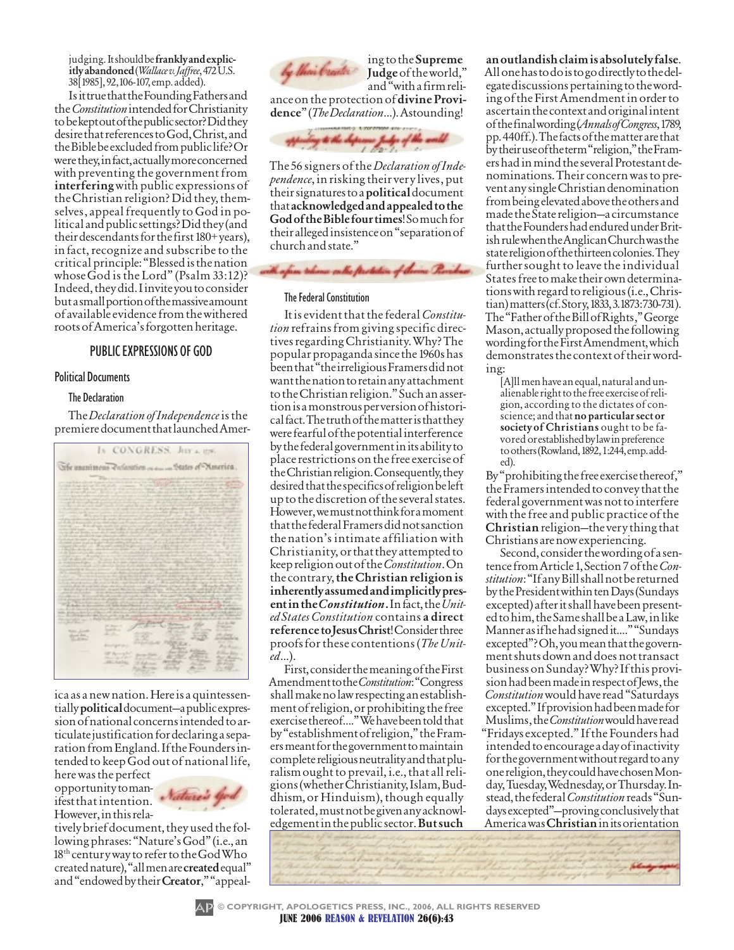judging. It should be frankly and explicitly abandoned (*Wallace v. Jaffree*, 472 U.S. 38[1985], 92,106-107, emp. added).

Is it true that the Founding Fathers and the *Constitution* intended for Christianity to be kept out of the public sector? Did they desire that references to God, Christ, and the Bible be excluded from public life? Or were they, in fact, actually more concerned with preventing the government from interfering with public expressions of the Christian religion? Did they, themselves, appeal frequently to God in political and public settings? Did they (and their descendants for the first 180+ years), in fact, recognize and subscribe to the critical principle: "Blessed is the nation whose God is the Lord" (Psalm 33:12)? Indeed, they did. I invite you to consider but a small portion of the massive amount of available evidence from the withered roots of America's forgotten heritage.

### Public Expressions of God

### Political Documents

#### The Declaration

The *Declaration of Independence* is the premiere document that launched Amer-



ica as a new nation. Here is a quintessentially political document—a public expression of national concerns intended to articulate justification for declaring a separation from England. If the Founders intended to keep God out of national life,

here was the perfect opportunity to manifest that intention. However, in this rela-



tively brief document, they used the following phrases: "Nature's God" (i.e., an 18th century way to refer to the God Who created nature), "all men are created equal" and "endowed by their Creator," "appeal-



ing to the Supreme Judge of the world," and "with a firm reli-

ance on the protection of divine Providence" (*The Declaration*…). Astounding!



The 56 signers of the *Declaration of Independence*, in risking their very lives, put their signatures to a political document that acknowledged and appealed to the God of the Bible four times! So much for their alleged insistence on "separation of church and state."



### The Federal Constitution

It is evident that the federal *Constitution* refrains from giving specific directives regarding Christianity. Why? The popular propaganda since the 1960s has been that "the irreligious Framers did not want the nation to retain any attachment to the Christian religion." Such an assertion is a monstrous perversion of historical fact. The truth of the matter is that they were fearful of the potential interference by the federal government in its ability to place restrictions on the free exercise of the Christian religion. Consequently, they desired that the specifics of religion be left up to the discretion of the several states. However, we must not think for a moment that the federal Framers did not sanction the nation's intimate affiliation with Christianity, or that they attempted to keep religion out of the *Constitution*. On the contrary, the Christian religion is inherently assumed and implicitly present in the *Constitution*. In fact, the *United States Constitution* contains a direct reference to Jesus Christ! Consider three proofs for these contentions (*The United*…).

First, consider the meaning of the First Amendment to the *Constitution*: "Congress shall make no law respecting an establishment of religion, or prohibiting the free exercise thereof…." We have been told that by "establishment of religion," the Framers meant for the government to maintain complete religious neutrality and that pluralism ought to prevail, i.e., that all religions (whether Christianity, Islam, Buddhism, or Hinduism), though equally tolerated, must not be given any acknowledgement in the public sector. But such

an outlandish claim is absolutely false. All one has to do is to go directly to the delegate discussions pertaining to the wording of the First Amendment in order to ascertain the context and original intent of the final wording (*Annals of Congress*, 1789, pp. 440ff.). The facts of the matter are that by their use of the term "religion," the Framers had in mind the several Protestant denominations. Their concern was to prevent any single Christian denomination from being elevated above the others and made the State religion—a circumstance that the Founders had endured under British rule when the Anglican Church was the state religion of the thirteen colonies. They further sought to leave the individual States free to make their own determinations with regard to religious (i.e., Christian) matters (cf. Story, 1833, 3.1873:730-731). The "Father of the Bill of Rights," George Mason, actually proposed the following wording for the First Amendment, which demonstrates the context of their wording:

[A]ll men have an equal, natural and unalienable right to the free exercise of religion, according to the dictates of conscience; and that no particular sect or society of Christians ought to be favored or established by law in preference to others (Rowland, 1892, 1:244, emp. added).

By "prohibiting the free exercise thereof," the Framers intended to convey that the federal government was not to interfere with the free and public practice of the Christian religion—the very thing that Christians are now experiencing.

Second, consider the wording of a sentence from Article 1, Section 7 of the *Constitution*: "If any Bill shall not be returned by the President within ten Days (Sundays excepted) after it shall have been presented to him, the Same shall be a Law, in like Manner as if he had signed it…." "Sundays excepted"? Oh, you mean that the government shuts down and does not transact business on Sunday? Why? If this provision had been made in respect of Jews, the *Constitution* would have read "Saturdays excepted." If provision had been made for Muslims, the *Constitution* would have read "Fridays excepted." If the Founders had intended to encourage a day of inactivity for the government without regard to any one religion, they could have chosen Monday, Tuesday, Wednesday, or Thursday. Instead, the federal *Constitution* reads "Sundays excepted"—proving conclusively that America was Christian in its orientation

June 2006 Reason & Revelation 26(6):43 **© COPYRIGHT, APOLOGETICS PRESS, INC., 2006, ALL RIGHTS RESERVED**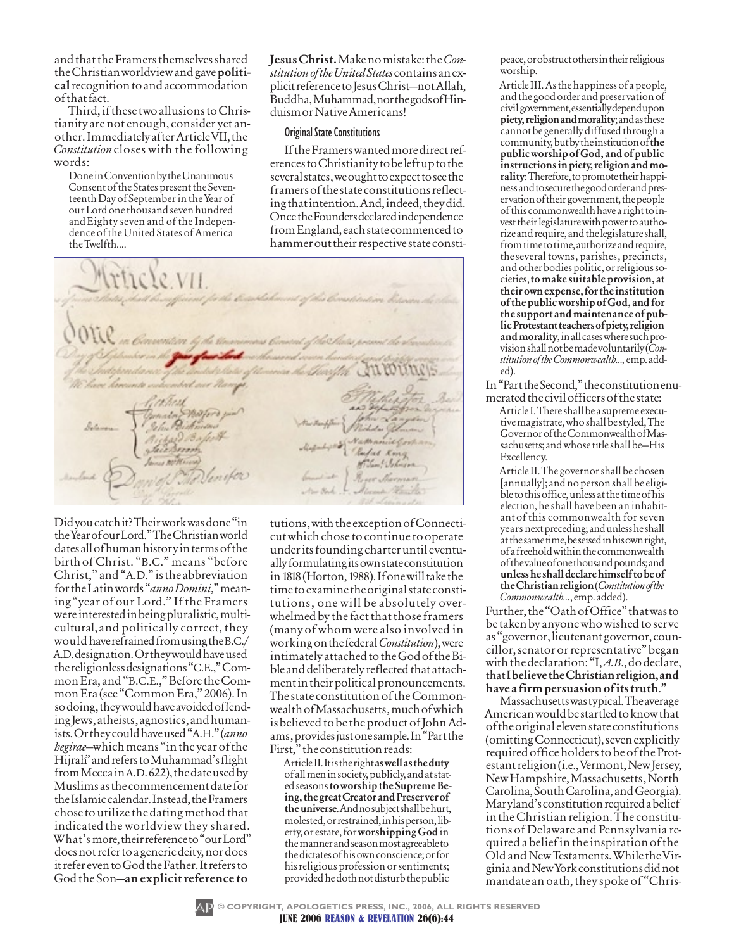and that the Framers themselves shared the Christian worldview and gave political recognition to and accommodation of that fact.

Third, if these two allusions to Christianity are not enough, consider yet another. Immediately after Article VII, the *Constitution* closes with the following words:

Done in Convention by the Unanimous Consent of the States present the Seventeenth Day of September in the Year of our Lord one thousand seven hundred and Eighty seven and of the Independence of the United States of America the Twelfth….

Jesus Christ. Make no mistake: the *Constitution of the United States* contains an explicit reference to Jesus Christ—not Allah, Buddha, Muhammad, nor the gods of Hinduism or Native Americans!

#### Original State Constitutions

If the Framers wanted more direct references to Christianity to be left up to the several states, we ought to expect to see the framers of the state constitutions reflecting that intention. And, indeed, they did. Once the Founders declared independence from England, each state commenced to hammer out their respective state consti-

Did you catch it? Their work was done "in the Year of our Lord." The Christian world dates all of human history in terms of the birth of Christ. "b.c." means "before Christ," and "A.D." is the abbreviation for the Latin words "*anno Domini*," meaning "year of our Lord." If the Framers were interested in being pluralistic, multicultural, and politically correct, they would have refrained from using the b.c./ A.D. designation. Or they would have used the religionless designations "C.E.," Common Era, and "B.C.E.," Before the Common Era (see "Common Era," 2006). In so doing, they would have avoided offending Jews, atheists, agnostics, and humanists. Or they could have used "A.H." *(anno hegirae—*which means "in the year of the Hijrah" and refers to Muhammad's flight from Mecca in A.D. 622), the date used by Muslims as the commencement date for the Islamic calendar. Instead, the Framers chose to utilize the dating method that indicated the worldview they shared. What's more, their reference to "our Lord" does not refer to a generic deity, nor does it refer even to God the Father. It refers to God the Son—an explicit reference to

tutions, with the exception of Connecticut which chose to continue to operate under its founding charter until eventually formulating its own state constitution in 1818 (Horton, 1988). If one will take the time to examine the original state constitutions, one will be absolutely overwhelmed by the fact that those framers (many of whom were also involved in working on the federal *Constitution*), were intimately attached to the God of the Bible and deliberately reflected that attachment in their political pronouncements. The state constitution of the Commonwealth of Massachusetts, much of which is believed to be the product of John Adams, provides just one sample. In "Part the First," the constitution reads:

Article II. It is the right as well as the duty of all men in society, publicly, and at stated seasons to worship the Supreme Being, the great Creator and Preserver of the universe. And no subject shall be hurt, molested, or restrained, in his person, liberty, or estate, for worshipping God in the manner and season most agreeable to the dictates of his own conscience; or for his religious profession or sentiments; provided he doth not disturb the public

peace, or obstruct others in their religious worship.

Article III. As the happiness of a people, and the good order and preservation of civil government, essentially depend upon piety, religion and morality; and as these cannot be generally diffused through a community, but by the institution of the public worship of God, and of public instructions in piety, religion and morality: Therefore, to promote their happiness and to secure the good order and preservation of their government, the people of this commonwealth have a right to invest their legislature with power to authorize and require, and the legislature shall, from time to time, authorize and require, the several towns, parishes, precincts, and other bodies politic, or religious societies, to make suitable provision, at their own expense, for the institution of the public worship of God, and for the support and maintenance of public Protestant teachers of piety, religion and morality, in all cases where such provision shall not be made voluntarily (*Constitution of the Commonwealth…,* emp. added).

In "Part the Second," the constitution enu-

merated the civil officers of the state: Article I. There shall be a supreme executive magistrate, who shall be styled, The Governor of the Commonwealth of Massachusetts; and whose title shall be—His Excellency.

Article II. The governor shall be chosen [annually]; and no person shall be eligible to this office, unless at the time of his election, he shall have been an inhabitant of this commonwealth for seven years next preceding; and unless he shall at the same time, be seised in his own right, of a freehold within the commonwealth of the value of one thousand pounds; and unless he shall declare himself to be of the Christian religion (*Constitution of the Commonwealth…*, emp. added).

Further, the "Oath of Office" that was to be taken by anyone who wished to serve as "governor, lieutenant governor, councillor, senator or representative" began with the declaration: "I, *A.B.*, do declare, that I believe the Christian religion, and have a firm persuasion of its truth."

Massachusetts was typical. The average American would be startled to know that of the original eleven state constitutions (omitting Connecticut), seven explicitly required office holders to be of the Protestant religion (i.e., Vermont, New Jersey, New Hampshire, Massachusetts, North Carolina, South Carolina, and Georgia). Maryland's constitution required a belief in the Christian religion. The constitutions of Delaware and Pennsylvania required a belief in the inspiration of the Old and New Testaments. While the Virginia and New York constitutions did not mandate an oath, they spoke of "Chris-

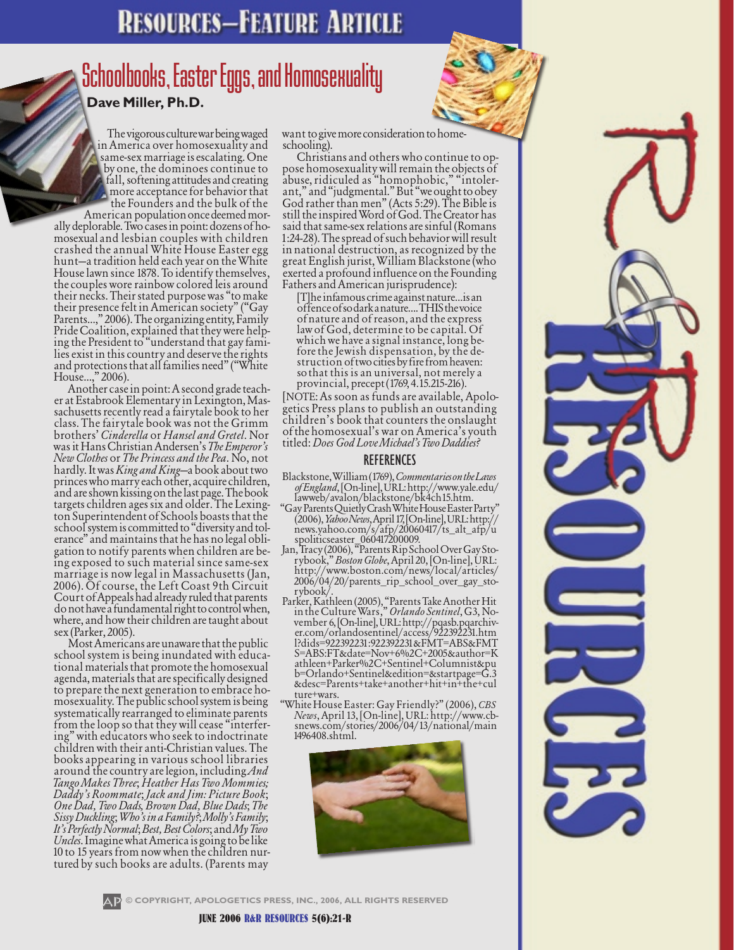### **RESOURCES-FEATURE ARTICLE**

### Schoolbooks, Easter Eggs, and Homosexuality **Dave Miller, Ph.D.**

The vigorous culture war being waged in America over homosexuality and same-sex marriage is escalating. One by one, the dominoes continue to fall, softening attitudes and creating more acceptance for behavior that the Founders and the bulk of the<br>American population once deemed morally deplorable. Two cases in point: dozens of ho-<br>mosexual and lesbian couples with children crashed the annual White House Easter egg hunt—a tradition held each year on the White House lawn since 1878. To identify themselves, the couples wore rainbow colored leis around their necks. Their stated purpose was "to make their presence felt in American society" ("Gay Parents…," 2006). The organizing entity, Family Pride Coalition, explained that they were help-<br>ing the President to "understand that gay fami-<br>lies exist in this country and deserve the rights and protections that all families need" ("White

House...," 2006).<br>Another case in point: A second grade teach-<br>er at Estabrook Elementary in Lexington, Mas-<br>sachusetts recently read a fairytale book to her class. The fairytale book was not the Grimm brothers' *Cinderella* or *Hansel and Gretel*. Nor was it Hans Christian Andersen's *The Emperor's New Clothes* or *The Princess and the Pea*. No, not hardly. It was *King and King*—a book about two princes who marry each other, acquire children, and are shown kissing on the last page. The book targets children ages six and older. The Lexing- ton Superintendent of Schools boasts that the school system is committed to "diversity and tol-<br>erance" and maintains that he has no legal obli-<br>gation to notify parents when children are be-<br>ing exposed to such material since same-sex marriage is now legal in Massachusetts (Jan, 2006). Of course, the Left Coast 9th Circuit Court of Appeals had already ruled that parents do not have a fundamental right to control when, where, and how their children are taught about

sex (Parker, 2005). Most Americans are unaware that the public school system is being inundated with educa- tional materials that promote the homosexual agenda, materials that are specifically designed to prepare the next generation to embrace ho- mosexuality. The public school system is being systematically rearranged to eliminate parents from the loop so that they will cease "interfer- ing" with educators who seek to indoctrinate children with their anti-Christian values. The books appearing in various school libraries around the country are legion, including *And Tango Makes Three*; *Heather Has Two Mommies; Daddy's Roommate*; *Jack and Jim: Picture Book*; *One Dad, Two Dads, Brown Dad, Blue Dads*; *The Sissy Duckling*; *Who's in a Family?*; *Molly's Family*; *It's Perfectly Normal*; *Best, Best Colors*; and *My Two Uncles*. Imagine what America is going to be like<br>10 to 15 years from now when the children nur-<br>tured by such books are adults. (Parents may

want to give more consideration to home-<br>schooling).<br>Christians and others who continue to op-<br>pose homosexuality will remain the objects of<br>abuse, ridiculed as "homophobic," "intolerabuse, ridiculed as "homophobic," "intoler- ant," and "judgmental." But "we ought to obey God rather than men" (Acts 5:29). The Bible is still the inspired Word of God. The Creator has said that same-sex relations are sinful (Romans 1:24-28). The spread of such behavior will result in national destruction, as recognized by the great English jurist, William Blackstone (who exerted a profound influence on the Founding Fathers and American jurisprudence):

[T]he infamous crime against nature…is an offence of so dark a nature…. THIS the voice of nature and of reason, and the express law of God, determine to be capital. Of<br>which we have a signal instance, long before the Jewish dispensation, by the de-<br>struction of two cities by fire from heaven: so that this is an universal, not merely a provincial, precept (1769, 4.15.215-216).

[note: As soon as funds are available, Apolo- getics Press plans to publish an outstanding children's book that counters the onslaught of the homosexual's war on America's youth titled: *Does God Love Michael's Two Daddies?*

### **REFERENCES**

- Blackstone, William (1769), *Commentaries on the Laws of England*, [On-line], url: http://www.yale.edu/ lawweb/avalon/blackstone/bk4ch15.htm. "Gay Parents Quietly Crash White House Easter Party"
- (2006), *Yahoo News*, April 17, [On-line], url: http:// news.yahoo.com/s/afp/20060417/ts\_alt\_afp/u
- spoliticseaster\_060417200009.<br>Jan, Tracy (2006), "Parents Rip School Over Gay Sto-<br>rybook," *Boston Globe*, April 20, [On-line], URL:<br>http://www.boston.com/news/local/articles/<br>2006/04/20/parents\_rip\_school\_over\_gay\_sto-
- 2006/04/20/parents\_rip\_school\_over\_gay\_sto-<br>rybook/.<br>Parker, Kathleen (2005), "Parents Take Another Hit<br>in the Culture Wars," Orlando Sentinel, G3, No-<br>vember 6, [On-line], URL: http://pqasb.pqarchiv-<br>er.com/orlandosentine l?dids=922392231:922392231&FMT=ABS&FMT S=ABS:FT&date=Nov+6%2C+2005&author=K athleen+Parker%2C+Sentinel+Columnist&pu b=Orlando+Sentinel&edition=&startpage=G.3 &desc=Parents+take+another+hit+in+the+cul ture+wars.
- "White House Easter: Gay Friendly?" (2006), *cbs* mail, http://www.com/stories/2006/04/13/national/main 1496408.shtml.

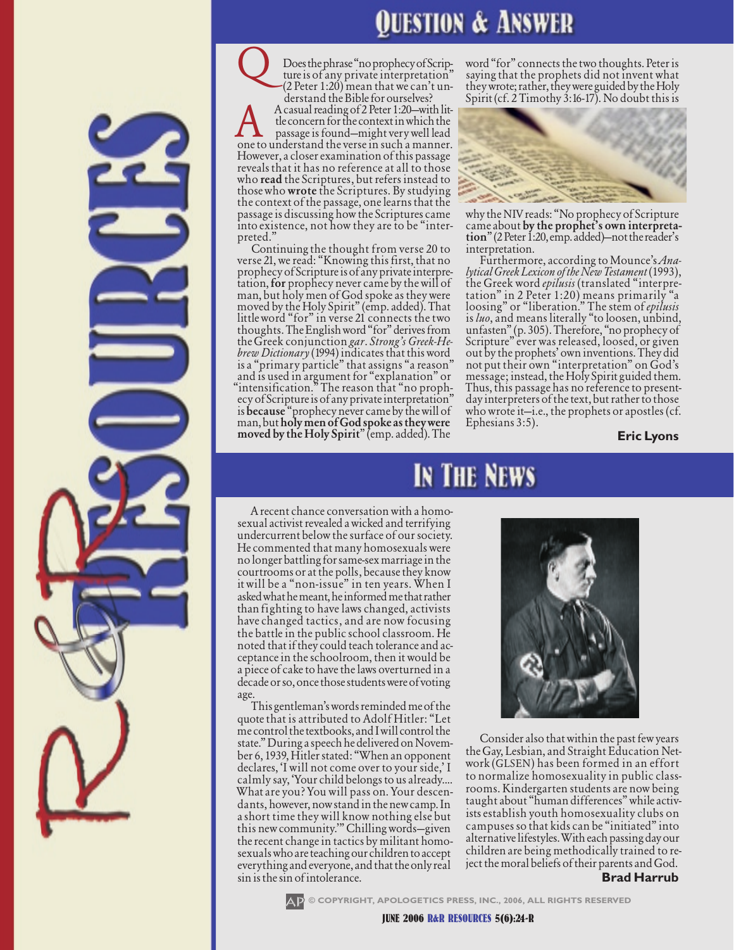## QUESTION & ANSWER

Does the phrase "no prophecy of Scrip-<br>ture is of any private interpretation"  $-(2$  Peter 1:20) mean that we can't understand the Bible for ourselves?<br>A casual reading of 2 Peter 1:20—with lit-

tle concern for the context in which the<br>passage is found-might very well lead one to understand the verse in such a manner. However, a closer examination of this passage reveals that it has no reference at all to those who **read** the Scriptures, but refers instead to those who **wrote** the Scriptures. By studying the context of the passage, one learns that the passage is discussing how the Scriptures came into existence, not how they are to be "inter- preted." Continuing the thought from verse 20 to verse 21, we read: "Knowing this first, that no

prophecy of Scripture is of any private interpre-<br>tation, for prophecy never came by the will of<br>man, but holy men of God spoke as they were moved by the Holy Spirit" (emp. added). That little word "for" in verse 21 connects the two thoughts. The English word "for" derives from<br>the Greek conjunction *gar. Strong's Greek-He*the Greek conjunction *gar*. *Strong's Greek-He- brew Dictionary* (1994) indicates that this word is a "primary particle" that assigns "a reason" and is used in argument for "explanation" or "intensification." The reason that "no proph- ecy of Scripture is of any private interpretation" is because "prophecy never came by the will of man, but holy men of God spoke as they were moved by the Holy Spirit" (emp. added). The

word "for" connects the two thoughts. Peter is saying that the prophets did not invent what they wrote; rather, they were guided by the Holy Spirit (cf. 2 Timothy 3:16-17). No doubt this is



why the NIV reads: "No prophecy of Scripture<br>came about **by the prophet's own interpreta-**<br>tion" (2 Peter 1:20, emp. added)—not the reader's

interpretation.<br>Furthermore, according to Mounce's *Ana- lytical Greek Lexicon of the New Testament* (1993), the Greek word *epilusis* (translated "interpretation" in 2 Peter 1:20) means primarily "a loosing" or "liberat loosing" or "liberation." The stem of *epilusis* is *luo*, and means literally "to loosen, unbind, unfasten" (p. 305). Therefore, "no prophecy of Scripture" ever was released, loosed, or given out by the prophets' own inventions. They did not put their own "interpretation" on God's message; instead, the Holy Spirit guided them. Thus, this passage has no reference to presentday interpreters of the text, but rather to those who wrote it—i.e., the prophets or apostles (cf. Ephesians 3:5).

**Eric Lyons**

## **IN THE NEWS**

A recent chance conversation with a homo- sexual activist revealed a wicked and terrifying undercurrent below the surface of our society. He commented that many homosexuals were no longer battling for same-sex marriage in the courtrooms or at the polls, because they know it will be a "non-issue" in ten years. When I asked what he meant, he informed me that rather than fighting to have laws changed, activists have changed tactics, and are now focusing the battle in the public school classroom. He noted that if they could teach tolerance and ac- ceptance in the schoolroom, then it would be a piece of cake to have the laws overturned in a decade or so, once those students were of voting age.

This gentleman's words reminded me of the quote that is attributed to Adolf Hitler: "Let me control the textbooks, and I will control the state." During a speech he delivered on Novem- ber 6, 1939, Hitler stated: "When an opponent declares, 'I will not come over to your side,' I calmly say, 'Your child belongs to us already.... What are you? You will pass on. Your descen- dants, however, now stand in the new camp. In a short time they will know nothing else but this new community.'" Chilling words—given the recent change in tactics by militant homo-<br>sexuals who are teaching our children to accept everything and everyone, and that the only real sin is the sin of intolerance.



Consider also that within the past few years the Gay, Lesbian, and Straight Education Net work (GLSEN) has been formed in an effort to normalize homosexuality in public class rooms. Kindergarten students are now being taught about "human differences" while activ ists establish youth homosexuality clubs on campuses so that kids can be "initiated" into alternative lifestyles. With each passing day our children are being methodically trained to re ject the moral beliefs of their parents and God.





**© COPYRIGHT, APOLOGETICS PRESS, INC., 2006, ALL RIGHTS RESERVED**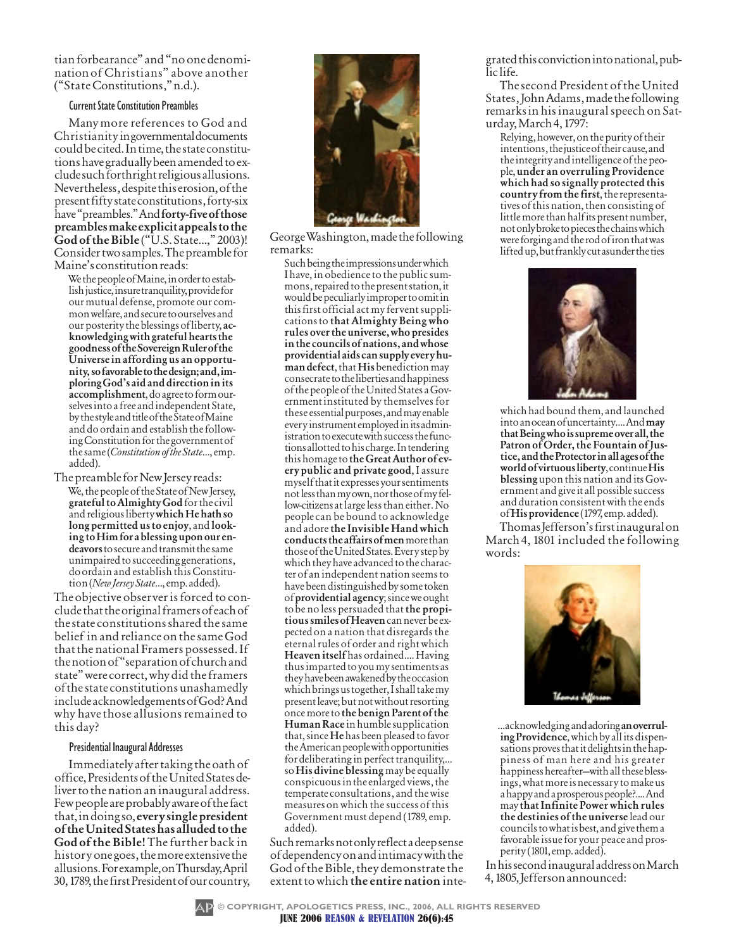tian forbearance" and "no one denomination of Christians" above another ("State Constitutions," n.d.).

### Current State Constitution Preambles

Many more references to God and Christianity in governmental documents could be cited. In time, the state constitutions have gradually been amended to exclude such forthright religious allusions. Nevertheless, despite this erosion, of the present fifty state constitutions, forty-six have "preambles." And forty-five of those preambles make explicit appeals to the God of the Bible ("U.S. State…," 2003)! Consider two samples. The preamble for Maine's constitution reads:

We the people of Maine, in order to establish justice, insure tranquility, provide for our mutual defense, promote our common welfare, and secure to ourselves and our posterity the blessings of liberty, acknowledging with grateful hearts the goodness of the Sovereign Ruler of the Universe in affording us an opportunity, so favorable to the design; and, imploring God's aid and direction in its accomplishment, do agree to form ourselves into a free and independent State, by the style and title of the State of Maine and do ordain and establish the following Constitution for the government of the same (*Constitution of the State*…, emp. added).

The preamble for New Jersey reads: We, the people of the State of New Jersey, grateful to Almighty God for the civil and religious liberty which He hath so long permitted us to enjoy, and looking to Him for a blessing upon our endeavors to secure and transmit the same unimpaired to succeeding generations, do ordain and establish this Constitution (*New Jersey State*…, emp. added).

The objective observer is forced to conclude that the original framers of each of the state constitutions shared the same belief in and reliance on the same God that the national Framers possessed. If the notion of "separation of church and state" were correct, why did the framers of the state constitutions unashamedly include acknowledgements of God? And why have those allusions remained to this day?

#### Presidential Inaugural Addresses

Immediately after taking the oath of office, Presidents of the United States deliver to the nation an inaugural address. Few people are probably aware of the fact that, in doing so, every single president of the United States has alluded to the God of the Bible! The further back in history one goes, the more extensive the allusions. For example, on Thursday, April 30, 1789, the first President of our country,



George Washington, made the following remarks:

Such being the impressions under which I have, in obedience to the public summons, repaired to the present station, it would be peculiarly improper to omit in this first official act my fervent supplications to that Almighty Being who rules over the universe, who presides in the councils of nations, and whose providential aids can supply every human defect, that His benediction may consecrate to the liberties and happiness of the people of the United States a Government instituted by themselves for these essential purposes, and may enable every instrument employed in its administration to execute with success the functions allotted to his charge. In tendering this homage to the Great Author of every public and private good, I assure myself that it expresses your sentiments not less than my own, nor those of my fellow-citizens at large less than either. No people can be bound to acknowledge and adore the Invisible Hand which conducts the affairs of men more than those of the United States. Every step by which they have advanced to the character of an independent nation seems to have been distinguished by some token of providential agency; since we ought to be no less persuaded that the propitious smiles ofHeaven can never be expected on a nation that disregards the eternal rules of order and right which Heaven itself has ordained.… Having thus imparted to you my sentiments as they have been awakened by the occasion which brings us together, I shall take my present leave; but not without resorting once more to the benign Parent of the Human Race in humble supplication that, since He has been pleased to favor the American people with opportunities for deliberating in perfect tranquility,… so His divine blessing may be equally conspicuous in the enlarged views, the temperate consultations, and the wise measures on which the success of this Government must depend (1789, emp. added).

Such remarks not only reflect a deep sense of dependency on and intimacy with the God of the Bible, they demonstrate the extent to which the entire nation integrated this conviction into national, public life.

The second President of the United States, John Adams, made the following remarks in his inaugural speech on Saturday, March 4, 1797:

Relying, however, on the purity of their intentions, the justice of their cause, and the integrity and intelligence of the people, under an overruling Providence which had so signally protected this country from the first, the representatives of this nation, then consisting of little more than half its present number, not only broke to pieces the chains which were forging and the rod of iron that was lifted up, but frankly cut asunder the ties



which had bound them, and launched into an ocean of uncertainty…. And may that Being who is supreme over all, the Patron of Order, the Fountain of Justice, and the Protector in all ages of the world of virtuous liberty, continue His blessing upon this nation and its Government and give it all possible success and duration consistent with the ends of His providence (1797, emp. added).

Thomas Jefferson's first inaugural on March 4, 1801 included the following words:



...acknowledging and adoring an overruling Providence, which by all its dispensations proves that it delights in the happiness of man here and his greater happiness hereafter—with all these blessings, what more is necessary to make us a happy and a prosperous people?.... And may that Infinite Power which rules the destinies of the universe lead our councils to what is best, and give them a favorable issue for your peace and prosperity (1801, emp. added).

In his second inaugural address on March 4, 1805, Jefferson announced:

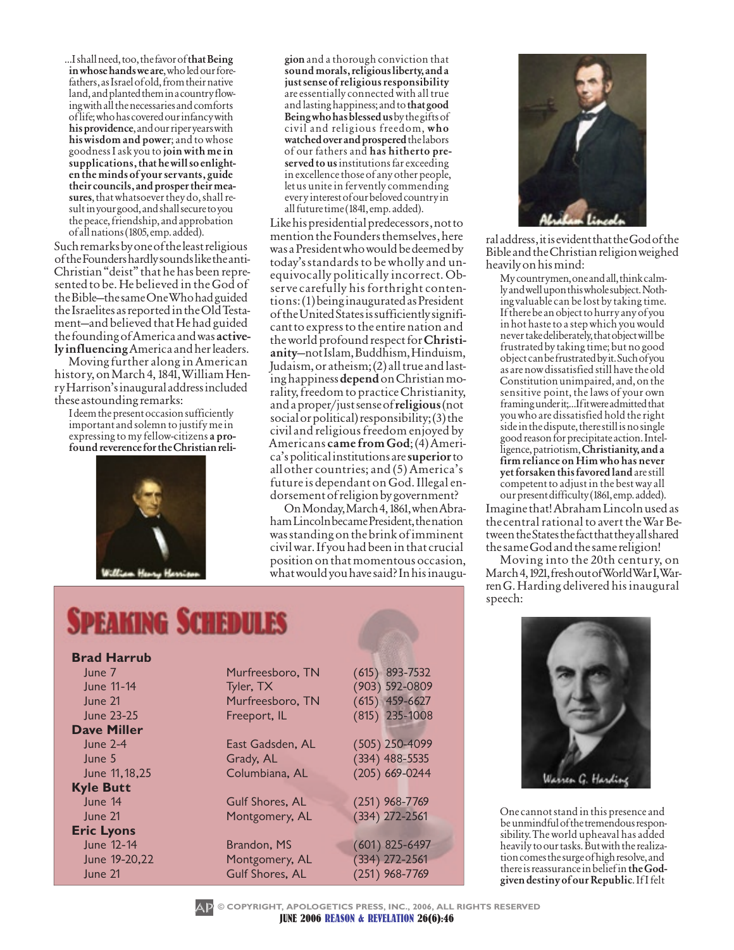…I shall need, too, the favor of that Being in whose hands we are, who led our forefathers, as Israel of old, from their native land, and planted them in a country flowing with all the necessaries and comforts of life; who has covered our infancy with his providence, and our riper years with his wisdom and power; and to whose goodness I ask you to join with me in supplications, that he will so enlighten the minds of your servants, guide their councils, and prosper their measures, that whatsoever they do, shall result in your good, and shall secure to you the peace, friendship, and approbation of all nations (1805, emp. added).

Such remarks by one of the least religious of the Founders hardly sounds like the anti-Christian "deist" that he has been represented to be. He believed in the God of the Bible—the same One Who had guided the Israelites as reported in the Old Testament—and believed that He had guided the founding of America and was actively influencing America and her leaders.

Moving further along in American history, on March 4, 1841, William Henry Harrison's inaugural address included these astounding remarks:

I deem the present occasion sufficiently important and solemn to justify me in expressing to my fellow-citizens a profound reverence for the Christian reli-



gion and a thorough conviction that sound morals, religious liberty, and a just sense of religious responsibility are essentially connected with all true and lasting happiness; and to that good Being who has blessed us by the gifts of civil and religious freedom, who watched over and prospered the labors of our fathers and has hitherto preserved to us institutions far exceeding in excellence those of any other people, let us unite in fervently commending every interest of our beloved country in all future time (1841, emp. added).

Like his presidential predecessors, not to mention the Founders themselves, here was a President who would be deemed by today's standards to be wholly and unequivocally politically incorrect. Observe carefully his forthright contentions: (1) being inaugurated as President of the United States is sufficiently significant to express to the entire nation and the world profound respect for Christianity—not Islam, Buddhism, Hinduism, Judaism, or atheism; (2) all true and lasting happiness depend on Christian morality, freedom to practice Christianity, and a proper/just sense of religious (not social or political) responsibility; (3) the civil and religious freedom enjoyed by Americans came from God; (4) America's political institutions are superior to all other countries; and (5) America's future is dependant on God. Illegal endorsement of religion by government?

On Monday, March 4, 1861, when Abraham Lincoln became President, the nation was standing on the brink of imminent civil war. If you had been in that crucial position on that momentous occasion, what would you have said? In his inaugu-

|                    | <b>SPEAKING SCHEDULES</b> |                    |
|--------------------|---------------------------|--------------------|
| <b>Brad Harrub</b> |                           |                    |
| June 7             | Murfreesboro, TN          | $(615)$ 893-7532   |
| June 11-14         | Tyler, TX                 | $(903) 592 - 0809$ |
| June 21            | Murfreesboro, TN          | $(615)$ 459-6627   |
| June 23-25         | Freeport, IL              | $(815)$ 235-1008   |
| <b>Dave Miller</b> |                           |                    |
| <b>June 2-4</b>    | East Gadsden, AL          | $(505)$ 250-4099   |
| June 5             | Grady, AL                 | $(334)$ 488-5535   |
| June 11, 18, 25    | Columbiana, AL            | $(205) 669 - 0244$ |
| <b>Kyle Butt</b>   |                           |                    |
| June 14            | Gulf Shores, AL           | $(251)$ 968-7769   |
| June 21            | Montgomery, AL            | $(334)$ 272-2561   |
| <b>Eric Lyons</b>  |                           |                    |
| June 12-14         | Brandon, MS               | $(601)$ 825-6497   |
| June 19-20,22      | Montgomery, AL            | (334) 272-2561     |
| June 21            | Gulf Shores, AL           | (251) 968-7769     |



ral address, it is evident that the God of the Bible and the Christian religion weighed heavily on his mind:

My countrymen, one and all, think calmly and well upon this whole subject. Nothing valuable can be lost by taking time. If there be an object to hurry any of you in hot haste to a step which you would never take deliberately, that object will be frustrated by taking time; but no good object can be frustrated by it. Such of you as are now dissatisfied still have the old Constitution unimpaired, and, on the sensitive point, the laws of your own framing under it;…If it were admitted that you who are dissatisfied hold the right side in the dispute, there still is no single good reason for precipitate action. Intelligence, patriotism, Christianity, and a firm reliance on Him who has never yet forsaken this favored land are still competent to adjust in the best way all our present difficulty (1861, emp. added).

Imagine that! Abraham Lincoln used as the central rational to avert the War Between the States the fact that they all shared the same God and the same religion!

Moving into the 20th century, on March 4, 1921, fresh out of World War I, Warren G. Harding delivered his inaugural speech:



One cannot stand in this presence and be unmindful of the tremendous responsibility. The world upheaval has added heavily to our tasks. But with the realization comes the surge of high resolve, and there is reassurance in belief in the Godgiven destiny of our Republic. If I felt

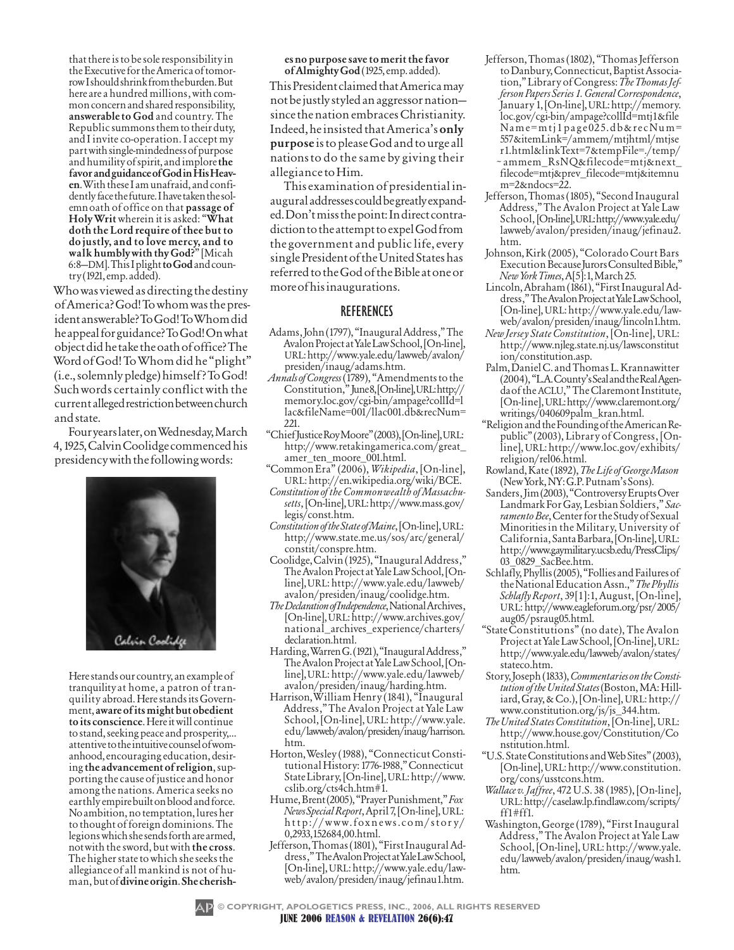that there is to be sole responsibility in the Executive for the America of tomorrow I should shrink from the burden. But here are a hundred millions, with common concern and shared responsibility, answerable to God and country. The Republic summons them to their duty, and I invite co-operation. I accept my part with single-mindedness of purpose and humility of spirit, and implore the favor and guidance of God in His Heaven. With these I am unafraid, and confidently face the future. I have taken the solemn oath of office on that passage of Holy Writ wherein it is asked: "What doth the Lord require of thee but to do justly, and to love mercy, and to walk humbly with thy God?" [Micah 6:8-DM]. This I plight to God and country (1921, emp. added).

Who was viewed as directing the destiny of America? God! To whom was the president answerable? To God! To Whom did he appeal for guidance? To God! On what object did he take the oath of office? The Word of God! To Whom did he "plight" (i.e., solemnly pledge) himself? To God! Such words certainly conflict with the current alleged restriction between church and state.

Four years later, on Wednesday, March 4, 1925, Calvin Coolidge commenced his presidency with the following words:



Here stands our country, an example of tranquility at home, a patron of tranquility abroad. Here stands its Government, aware of its might but obedient to its conscience. Here it will continue to stand, seeking peace and prosperity,… attentive to the intuitive counsel of womanhood, encouraging education, desiring the advancement of religion, supporting the cause of justice and honor among the nations. America seeks no earthly empire built on blood and force. No ambition, no temptation, lures her to thought of foreign dominions. The legions which she sends forth are armed, not with the sword, but with the cross. The higher state to which she seeks the allegiance of all mankind is not of human, but of divine origin. She cherish-

es no purpose save to merit the favor of Almighty God (1925, emp. added).

This President claimed that America may not be justly styled an aggressor nation since the nation embraces Christianity. Indeed, he insisted that America's only purpose is to please God and to urge all nations to do the same by giving their allegiance to Him.

This examination of presidential inaugural addresses could be greatly expanded. Don't miss the point: In direct contradiction to the attempt to expel God from the government and public life, every single President of the United States has referred to the God of the Bible at one or more of his inaugurations.

### **REFERENCES**

- Adams, John (1797), "Inaugural Address," The Avalon Project at Yale Law School, [On-line], url: http://www.yale.edu/lawweb/avalon/ presiden/inaug/adams.htm.
- *Annals of Congress* (1789), "Amendments to the Constitution," June 8, [On-line], url: http:// memory.loc.gov/cgi-bin/ampage?collId=l lac&fileName=001/llac001.db&recNum= 221.
- "Chief Justice Roy Moore" (2003), [On-line], url: http://www.retakingamerica.com/great\_ amer ten moore 001.html.
- "Common Era" (2006), *Wikipedia*, [On-line], url: http://en.wikipedia.org/wiki/BCE.
- *Constitution of the Commonwealth of Massachu*setts, [On-line], URL: http://www.mass.gov/ legis/const.htm.
- *Constitution of the State of Maine*, [On-line], URL: http://www.state.me.us/sos/arc/general/ constit/conspre.htm.
- Coolidge, Calvin (1925), "Inaugural Address," The Avalon Project at Yale Law School, [Online], url: http://www.yale.edu/lawweb/ avalon/presiden/inaug/coolidge.htm.
- *The Declaration of Independence*, National Archives, [On-line], URL: http://www.archives.gov/ national\_archives\_experience/charters/ declaration.html.
- Harding, Warren G. (1921), "Inaugural Address," The Avalon Project at Yale Law School, [Online], url: http://www.yale.edu/lawweb/ avalon/presiden/inaug/harding.htm.
- Harrison, William Henry (1841), "Inaugural Address," The Avalon Project at Yale Law School, [On-line], URL: http://www.yale. edu/lawweb/avalon/presiden/inaug/harrison. htm.
- Horton, Wesley (1988), "Connecticut Constitutional History: 1776-1988," Connecticut State Library, [On-line], URL: http://www. cslib.org/cts4ch.htm#1.
- Hume, Brent (2005), "Prayer Punishment," *Fox News Special Report*, April 7, [On-line], url: ht tp://www.foxnews.com/stor y/ 0,2933,152684,00.html.
- Jefferson, Thomas (1801), "First Inaugural Address," The Avalon Project at Yale Law School, [On-line], URL: http://www.yale.edu/lawweb/avalon/presiden/inaug/jefinau1.htm.
- Jefferson, Thomas (1802), "Thomas Jefferson to Danbury, Connecticut, Baptist Association," Library of Congress: *The Thomas Jefferson Papers Series 1. General Correspondence*, January 1, [On-line], URL: http://memory. loc.gov/cgi-bin/ampage?collId=mtj1&file Name=mtj1page025.db&recNum= 557&itemLink=/ammem/mtjhtml/mtjse r1.html&linkText=7&tempFile=./temp/ ~ammem\_RsNQ&filecode=mtj&next\_ filecode=mtj&prev\_filecode=mtj&itemnu m=2&ndocs=22.
- Jefferson, Thomas (1805), "Second Inaugural Address," The Avalon Project at Yale Law School, [On-line], URL: http://www.yale.edu/ lawweb/avalon/presiden/inaug/jefinau2. htm.
- Johnson, Kirk (2005), "Colorado Court Bars Execution Because Jurors Consulted Bible," *New York Times*, A[5]:1, March 25.
- Lincoln, Abraham (1861), "First Inaugural Address," The Avalon Project at Yale Law School, [On-line], URL: http://www.yale.edu/lawweb/avalon/presiden/inaug/lincoln1.htm.
- *New Jersey State Constitution*, [On-line], URL: http://www.njleg.state.nj.us/lawsconstitut ion/constitution.asp.
- Palm, Daniel C. and Thomas L. Krannawitter (2004), "L.A. County's Seal and the Real Agenda of the ACLU," The Claremont Institute, [On-line], url: http://www.claremont.org/ writings/040609palm\_kran.html.
- "Religion and the Founding of the American Republic" (2003), Library of Congress, [Online], url: http://www.loc.gov/exhibits/ religion/rel06.html.
- Rowland, Kate (1892), *The Life of George Mason* (New York, NY: G.P. Putnam's Sons).
- Sanders, Jim (2003), "Controversy Erupts Over Landmark For Gay, Lesbian Soldiers," *Sacramento Bee*, Center for the Study of Sexual Minorities in the Military, University of California, Santa Barbara, [On-line], URL: http://www.gaymilitary.ucsb.edu/PressClips/ 03\_0829\_SacBee.htm.
- Schlafly, Phyllis (2005), "Follies and Failures of the National Education Assn.," *The Phyllis Schlafly Report*, 39[1]:1, August, [On-line], url: http://www.eagleforum.org/psr/ 2005/ aug05/psraug05.html.
- "State Constitutions" (no date), The Avalon Project at Yale Law School, [On-line], URL: http://www.yale.edu/lawweb/avalon/states/ stateco.htm.
- Story, Joseph (1833), *Commentaries on the Constitution of the United States* (Boston, MA: Hilliard, Gray, & Co.), [On-line], URL: http:// www.constitution.org/js/js\_344.htm.
- *The United States Constitution*, [On-line], url: http://www.house.gov/Constitution/Co nstitution.html.
- "U.S. State Constitutions and Web Sites" (2003), [On-line], URL: http://www.constitution. org/cons/usstcons.htm.
- *Wallace v. Jaffree*, 472 U.S. 38 (1985), [On-line], url: http://caselaw.lp.findlaw.com/scripts/ ff1#ff1.
- Washington, George (1789), "First Inaugural Address," The Avalon Project at Yale Law School, [On-line], URL: http://www.yale. edu/lawweb/avalon/presiden/inaug/wash1. htm.